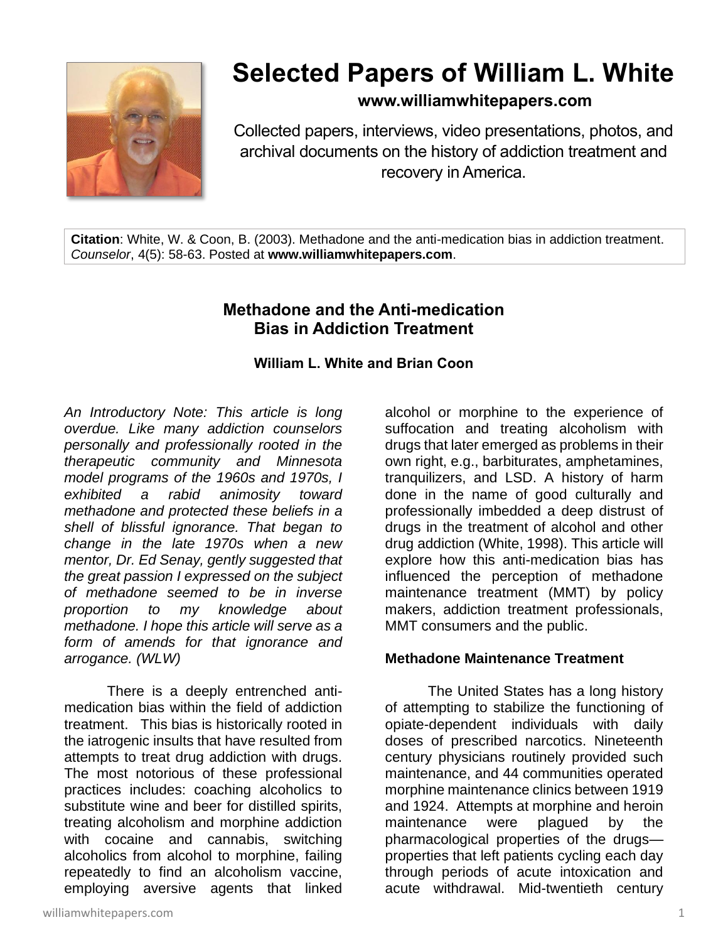

# **Selected Papers of William L. White**

**www.williamwhitepapers.com**

Collected papers, interviews, video presentations, photos, and archival documents on the history of addiction treatment and recovery in America.

**Citation**: White, W. & Coon, B. (2003). Methadone and the anti-medication bias in addiction treatment. *Counselor*, 4(5): 58-63. Posted at **www.williamwhitepapers.com**.

# **Methadone and the Anti-medication Bias in Addiction Treatment**

# **William L. White and Brian Coon**

*An Introductory Note: This article is long overdue. Like many addiction counselors personally and professionally rooted in the therapeutic community and Minnesota model programs of the 1960s and 1970s, I exhibited a rabid animosity toward methadone and protected these beliefs in a shell of blissful ignorance. That began to change in the late 1970s when a new mentor, Dr. Ed Senay, gently suggested that the great passion I expressed on the subject of methadone seemed to be in inverse proportion to my knowledge about methadone. I hope this article will serve as a form of amends for that ignorance and arrogance. (WLW)* 

There is a deeply entrenched antimedication bias within the field of addiction treatment. This bias is historically rooted in the iatrogenic insults that have resulted from attempts to treat drug addiction with drugs. The most notorious of these professional practices includes: coaching alcoholics to substitute wine and beer for distilled spirits, treating alcoholism and morphine addiction with cocaine and cannabis, switching alcoholics from alcohol to morphine, failing repeatedly to find an alcoholism vaccine, employing aversive agents that linked alcohol or morphine to the experience of suffocation and treating alcoholism with drugs that later emerged as problems in their own right, e.g., barbiturates, amphetamines, tranquilizers, and LSD. A history of harm done in the name of good culturally and professionally imbedded a deep distrust of drugs in the treatment of alcohol and other drug addiction (White, 1998). This article will explore how this anti-medication bias has influenced the perception of methadone maintenance treatment (MMT) by policy makers, addiction treatment professionals, MMT consumers and the public.

# **Methadone Maintenance Treatment**

The United States has a long history of attempting to stabilize the functioning of opiate-dependent individuals with daily doses of prescribed narcotics. Nineteenth century physicians routinely provided such maintenance, and 44 communities operated morphine maintenance clinics between 1919 and 1924. Attempts at morphine and heroin maintenance were plagued by the pharmacological properties of the drugs properties that left patients cycling each day through periods of acute intoxication and acute withdrawal. Mid-twentieth century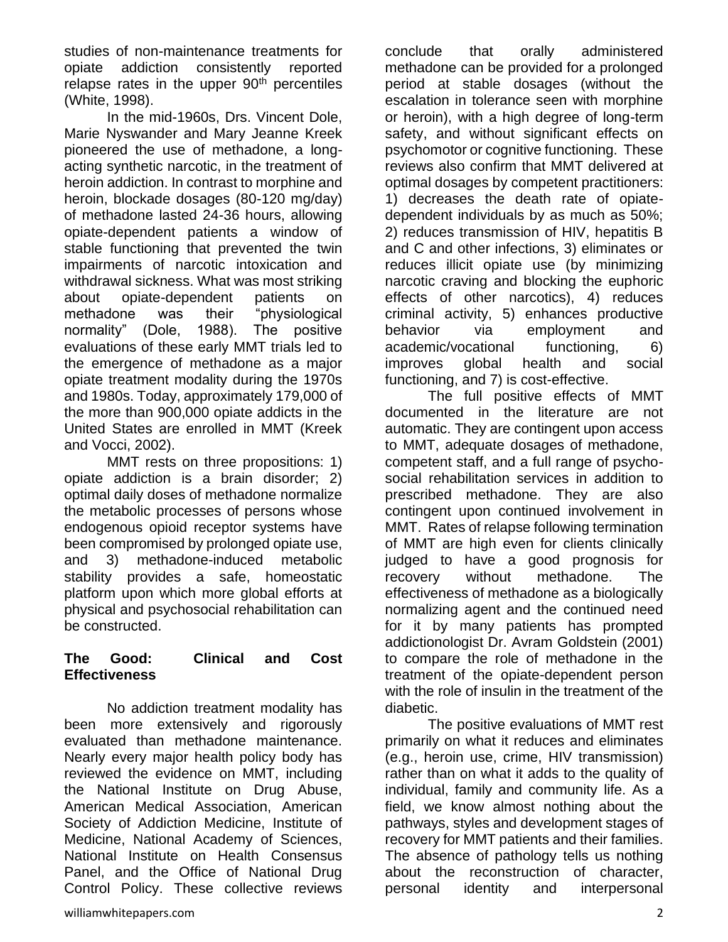studies of non-maintenance treatments for opiate addiction consistently reported relapse rates in the upper  $90<sup>th</sup>$  percentiles (White, 1998).

In the mid-1960s, Drs. Vincent Dole, Marie Nyswander and Mary Jeanne Kreek pioneered the use of methadone, a longacting synthetic narcotic, in the treatment of heroin addiction. In contrast to morphine and heroin, blockade dosages (80-120 mg/day) of methadone lasted 24-36 hours, allowing opiate-dependent patients a window of stable functioning that prevented the twin impairments of narcotic intoxication and withdrawal sickness. What was most striking about opiate-dependent patients on methadone was their "physiological normality" (Dole, 1988). The positive evaluations of these early MMT trials led to the emergence of methadone as a major opiate treatment modality during the 1970s and 1980s. Today, approximately 179,000 of the more than 900,000 opiate addicts in the United States are enrolled in MMT (Kreek and Vocci, 2002).

MMT rests on three propositions: 1) opiate addiction is a brain disorder; 2) optimal daily doses of methadone normalize the metabolic processes of persons whose endogenous opioid receptor systems have been compromised by prolonged opiate use, and 3) methadone-induced metabolic stability provides a safe, homeostatic platform upon which more global efforts at physical and psychosocial rehabilitation can be constructed.

#### **The Good: Clinical and Cost Effectiveness**

No addiction treatment modality has been more extensively and rigorously evaluated than methadone maintenance. Nearly every major health policy body has reviewed the evidence on MMT, including the National Institute on Drug Abuse, American Medical Association, American Society of Addiction Medicine, Institute of Medicine, National Academy of Sciences, National Institute on Health Consensus Panel, and the Office of National Drug Control Policy. These collective reviews

conclude that orally administered methadone can be provided for a prolonged period at stable dosages (without the escalation in tolerance seen with morphine or heroin), with a high degree of long-term safety, and without significant effects on psychomotor or cognitive functioning. These reviews also confirm that MMT delivered at optimal dosages by competent practitioners: 1) decreases the death rate of opiatedependent individuals by as much as 50%; 2) reduces transmission of HIV, hepatitis B and C and other infections, 3) eliminates or reduces illicit opiate use (by minimizing narcotic craving and blocking the euphoric effects of other narcotics), 4) reduces criminal activity, 5) enhances productive behavior via employment and academic/vocational functioning, 6) improves global health and social functioning, and 7) is cost-effective.

The full positive effects of MMT documented in the literature are not automatic. They are contingent upon access to MMT, adequate dosages of methadone, competent staff, and a full range of psychosocial rehabilitation services in addition to prescribed methadone. They are also contingent upon continued involvement in MMT. Rates of relapse following termination of MMT are high even for clients clinically judged to have a good prognosis for recovery without methadone. The effectiveness of methadone as a biologically normalizing agent and the continued need for it by many patients has prompted addictionologist Dr. Avram Goldstein (2001) to compare the role of methadone in the treatment of the opiate-dependent person with the role of insulin in the treatment of the diabetic.

The positive evaluations of MMT rest primarily on what it reduces and eliminates (e.g., heroin use, crime, HIV transmission) rather than on what it adds to the quality of individual, family and community life. As a field, we know almost nothing about the pathways, styles and development stages of recovery for MMT patients and their families. The absence of pathology tells us nothing about the reconstruction of character, personal identity and interpersonal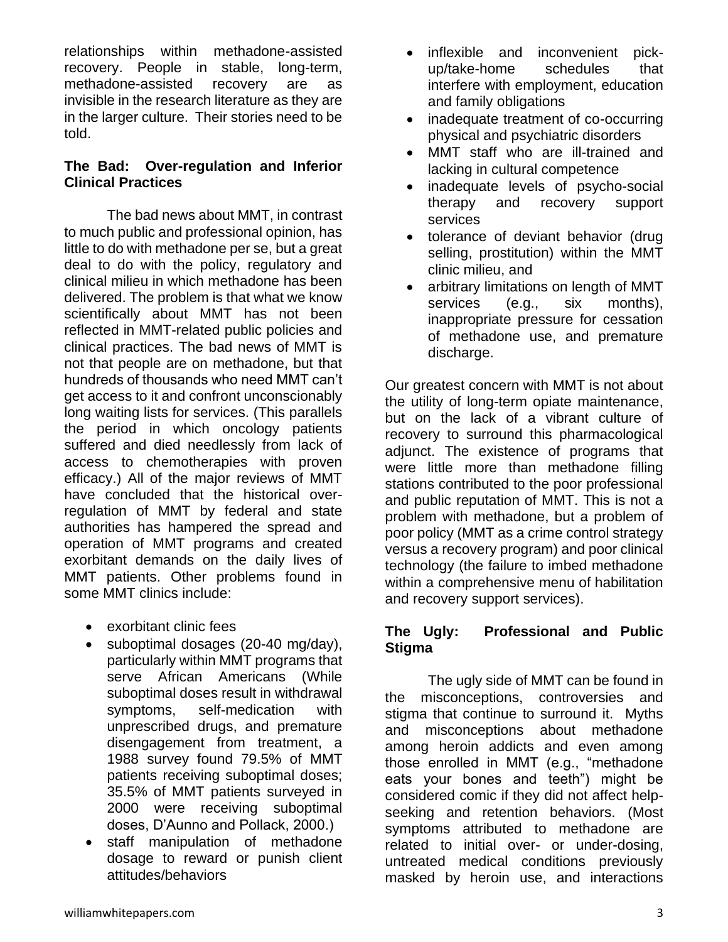relationships within methadone-assisted recovery. People in stable, long-term, methadone-assisted recovery are as invisible in the research literature as they are in the larger culture. Their stories need to be told.

#### **The Bad: Over-regulation and Inferior Clinical Practices**

The bad news about MMT, in contrast to much public and professional opinion, has little to do with methadone per se, but a great deal to do with the policy, regulatory and clinical milieu in which methadone has been delivered. The problem is that what we know scientifically about MMT has not been reflected in MMT-related public policies and clinical practices. The bad news of MMT is not that people are on methadone, but that hundreds of thousands who need MMT can't get access to it and confront unconscionably long waiting lists for services. (This parallels the period in which oncology patients suffered and died needlessly from lack of access to chemotherapies with proven efficacy.) All of the major reviews of MMT have concluded that the historical overregulation of MMT by federal and state authorities has hampered the spread and operation of MMT programs and created exorbitant demands on the daily lives of MMT patients. Other problems found in some MMT clinics include:

- exorbitant clinic fees
- suboptimal dosages (20-40 mg/day), particularly within MMT programs that serve African Americans (While suboptimal doses result in withdrawal symptoms, self-medication with unprescribed drugs, and premature disengagement from treatment, a 1988 survey found 79.5% of MMT patients receiving suboptimal doses; 35.5% of MMT patients surveyed in 2000 were receiving suboptimal doses, D'Aunno and Pollack, 2000.)
- staff manipulation of methadone dosage to reward or punish client attitudes/behaviors
- inflexible and inconvenient pickup/take-home schedules that interfere with employment, education and family obligations
- inadequate treatment of co-occurring physical and psychiatric disorders
- MMT staff who are ill-trained and lacking in cultural competence
- inadequate levels of psycho-social therapy and recovery support services
- tolerance of deviant behavior (drug selling, prostitution) within the MMT clinic milieu, and
- arbitrary limitations on length of MMT services (e.g., six months), inappropriate pressure for cessation of methadone use, and premature discharge.

Our greatest concern with MMT is not about the utility of long-term opiate maintenance, but on the lack of a vibrant culture of recovery to surround this pharmacological adjunct. The existence of programs that were little more than methadone filling stations contributed to the poor professional and public reputation of MMT. This is not a problem with methadone, but a problem of poor policy (MMT as a crime control strategy versus a recovery program) and poor clinical technology (the failure to imbed methadone within a comprehensive menu of habilitation and recovery support services).

# **The Ugly: Professional and Public Stigma**

The ugly side of MMT can be found in the misconceptions, controversies and stigma that continue to surround it. Myths and misconceptions about methadone among heroin addicts and even among those enrolled in MMT (e.g., "methadone eats your bones and teeth") might be considered comic if they did not affect helpseeking and retention behaviors. (Most symptoms attributed to methadone are related to initial over- or under-dosing, untreated medical conditions previously masked by heroin use, and interactions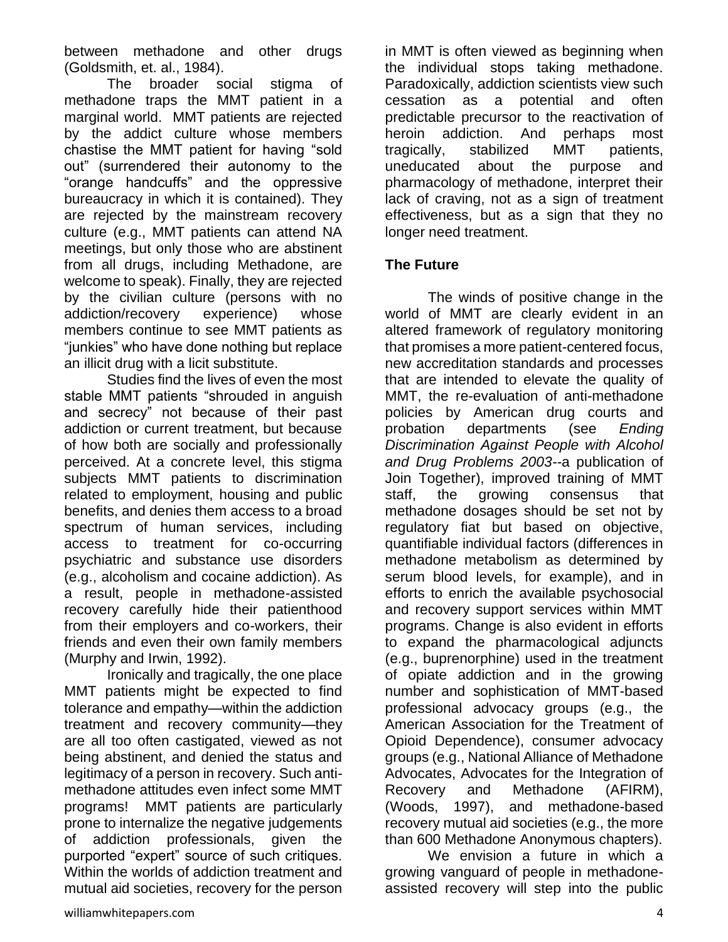between methadone and other drugs (Goldsmith, et. al., 1984).

The broader social stigma of methadone traps the MMT patient in a marginal world. MMT patients are rejected by the addict culture whose members chastise the MMT patient for having "sold out" (surrendered their autonomy to the "orange handcuffs" and the oppressive bureaucracy in which it is contained). They are rejected by the mainstream recovery culture (e.g., MMT patients can attend NA meetings, but only those who are abstinent from all drugs, including Methadone, are welcome to speak). Finally, they are rejected by the civilian culture (persons with no addiction/recovery experience) whose members continue to see MMT patients as "junkies" who have done nothing but replace an illicit drug with a licit substitute.

Studies find the lives of even the most stable MMT patients "shrouded in anguish and secrecy" not because of their past addiction or current treatment, but because of how both are socially and professionally perceived. At a concrete level, this stigma subjects MMT patients to discrimination related to employment, housing and public benefits, and denies them access to a broad spectrum of human services, including access to treatment for co-occurring psychiatric and substance use disorders (e.g., alcoholism and cocaine addiction). As a result, people in methadone-assisted recovery carefully hide their patienthood from their employers and co-workers, their friends and even their own family members (Murphy and Irwin, 1992).

Ironically and tragically, the one place MMT patients might be expected to find tolerance and empathy—within the addiction treatment and recovery community—they are all too often castigated, viewed as not being abstinent, and denied the status and legitimacy of a person in recovery. Such antimethadone attitudes even infect some MMT programs! MMT patients are particularly prone to internalize the negative judgements of addiction professionals, given the purported "expert" source of such critiques. Within the worlds of addiction treatment and mutual aid societies, recovery for the person

in MMT is often viewed as beginning when the individual stops taking methadone. Paradoxically, addiction scientists view such cessation as a potential and often predictable precursor to the reactivation of heroin addiction. And perhaps most tragically, stabilized MMT patients, uneducated about the purpose and pharmacology of methadone, interpret their lack of craving, not as a sign of treatment effectiveness, but as a sign that they no longer need treatment.

# **The Future**

The winds of positive change in the world of MMT are clearly evident in an altered framework of regulatory monitoring that promises a more patient-centered focus, new accreditation standards and processes that are intended to elevate the quality of MMT, the re-evaluation of anti-methadone policies by American drug courts and probation departments (see *Ending Discrimination Against People with Alcohol and Drug Problems 2003--*a publication of Join Together), improved training of MMT staff, the growing consensus that methadone dosages should be set not by regulatory fiat but based on objective, quantifiable individual factors (differences in methadone metabolism as determined by serum blood levels, for example), and in efforts to enrich the available psychosocial and recovery support services within MMT programs. Change is also evident in efforts to expand the pharmacological adjuncts (e.g., buprenorphine) used in the treatment of opiate addiction and in the growing number and sophistication of MMT-based professional advocacy groups (e.g., the American Association for the Treatment of Opioid Dependence), consumer advocacy groups (e.g., National Alliance of Methadone Advocates, Advocates for the Integration of Recovery and Methadone (AFIRM), (Woods, 1997), and methadone-based recovery mutual aid societies (e.g., the more than 600 Methadone Anonymous chapters).

We envision a future in which a growing vanguard of people in methadoneassisted recovery will step into the public